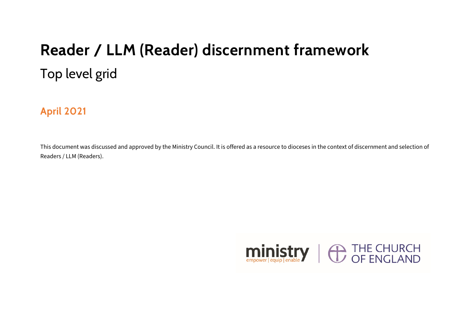## **Reader / LLM (Reader) discernment framework**  Top level grid

**April 2021**

This document was discussed and approved by the Ministry Council. It is offered as a resource to dioceses in the context of discernment and selection of Readers / LLM (Readers).